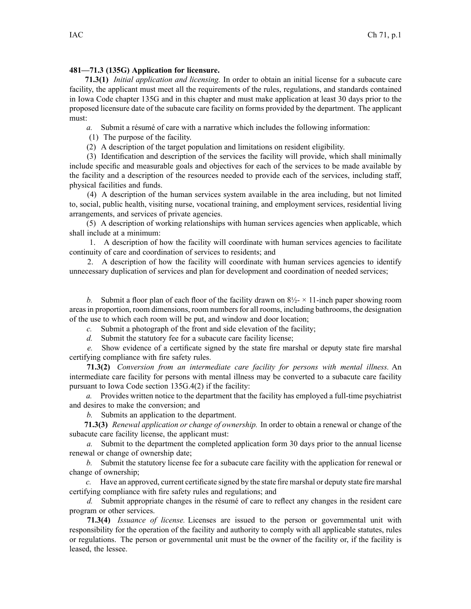## **481—71.3 (135G) Application for licensure.**

**71.3(1)** *Initial application and licensing.* In order to obtain an initial license for <sup>a</sup> subacute care facility, the applicant must meet all the requirements of the rules, regulations, and standards contained in Iowa Code chapter [135G](https://www.legis.iowa.gov/docs/ico/chapter/135G.pdf) and in this chapter and must make application at least 30 days prior to the proposed licensure date of the subacute care facility on forms provided by the department. The applicant must:

*a.* Submit <sup>a</sup> résumé of care with <sup>a</sup> narrative which includes the following information:

(1) The purpose of the facility.

(2) A description of the target population and limitations on resident eligibility.

(3) Identification and description of the services the facility will provide, which shall minimally include specific and measurable goals and objectives for each of the services to be made available by the facility and <sup>a</sup> description of the resources needed to provide each of the services, including staff, physical facilities and funds.

(4) A description of the human services system available in the area including, but not limited to, social, public health, visiting nurse, vocational training, and employment services, residential living arrangements, and services of private agencies.

(5) A description of working relationships with human services agencies when applicable, which shall include at <sup>a</sup> minimum:

1. A description of how the facility will coordinate with human services agencies to facilitate continuity of care and coordination of services to residents; and

2. A description of how the facility will coordinate with human services agencies to identify unnecessary duplication of services and plan for development and coordination of needed services;

*b.* Submit a floor plan of each floor of the facility drawn on  $8\frac{1}{2} \times 11$ -inch paper showing room areasin proportion, room dimensions, room numbersfor all rooms, including bathrooms, the designation of the use to which each room will be put, and window and door location;

*c.* Submit <sup>a</sup> photograph of the front and side elevation of the facility;

*d.* Submit the statutory fee for <sup>a</sup> subacute care facility license;

*e.* Show evidence of <sup>a</sup> certificate signed by the state fire marshal or deputy state fire marshal certifying compliance with fire safety rules.

**71.3(2)** *Conversion from an intermediate care facility for persons with mental illness.* An intermediate care facility for persons with mental illness may be converted to <sup>a</sup> subacute care facility pursuan<sup>t</sup> to Iowa Code section [135G.4\(2\)](https://www.legis.iowa.gov/docs/ico/section/135G.4.pdf) if the facility:

*a.* Provides written notice to the department that the facility has employed <sup>a</sup> full-time psychiatrist and desires to make the conversion; and

*b.* Submits an application to the department.

**71.3(3)** *Renewal application or change of ownership.* In order to obtain <sup>a</sup> renewal or change of the subacute care facility license, the applicant must:

*a.* Submit to the department the completed application form 30 days prior to the annual license renewal or change of ownership date;

*b.* Submit the statutory license fee for <sup>a</sup> subacute care facility with the application for renewal or change of ownership;

*c.* Have an approved, current certificate signed by the state fire marshal or deputy state fire marshal certifying compliance with fire safety rules and regulations; and

*d.* Submit appropriate changes in the résumé of care to reflect any changes in the resident care program or other services.

**71.3(4)** *Issuance of license.* Licenses are issued to the person or governmental unit with responsibility for the operation of the facility and authority to comply with all applicable statutes, rules or regulations. The person or governmental unit must be the owner of the facility or, if the facility is leased, the lessee.